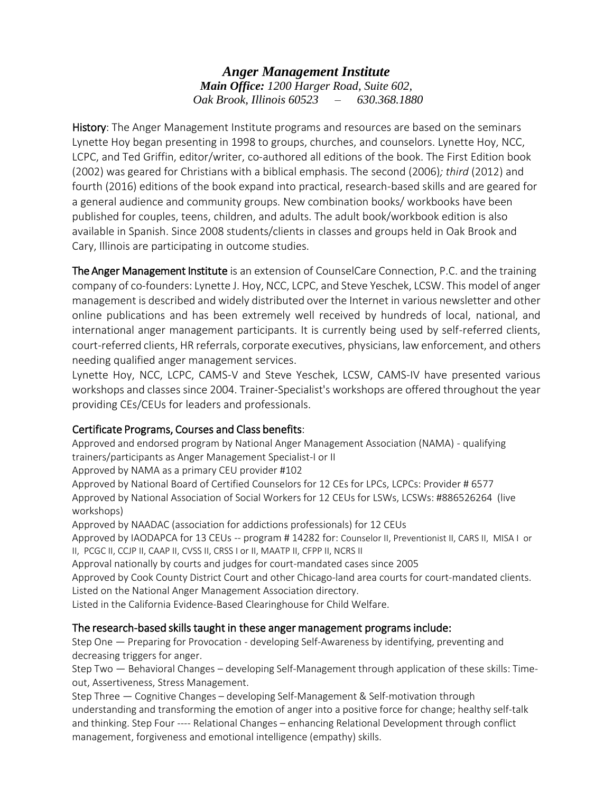*Anger Management Institute Main Office: 1200 Harger Road, Suite 602, Oak Brook, Illinois 60523 – 630.368.1880* 

History: The Anger Management Institute programs and resources are based on the seminars Lynette Hoy began presenting in 1998 to groups, churches, and counselors. Lynette Hoy, NCC, LCPC, and Ted Griffin, editor/writer, co-authored all editions of the book. The First Edition book (2002) was geared for Christians with a biblical emphasis. The second (2006)*; third* (2012) and fourth (2016) editions of the book expand into practical, research-based skills and are geared for a general audience and community groups. New combination books/ workbooks have been published for couples, teens, children, and adults. The adult book/workbook edition is also available in Spanish. Since 2008 students/clients in classes and groups held in Oak Brook and Cary, Illinois are participating in outcome studies.

The Anger Management Institute is an extension of CounselCare Connection, P.C. and the training company of co-founders: Lynette J. Hoy, NCC, LCPC, and Steve Yeschek, LCSW. This model of anger management is described and widely distributed over the Internet in various newsletter and other online publications and has been extremely well received by hundreds of local, national, and international anger management participants. It is currently being used by self-referred clients, court-referred clients, HR referrals, corporate executives, physicians, law enforcement, and others needing qualified anger management services.

Lynette Hoy, NCC, LCPC, CAMS-V and Steve Yeschek, LCSW, CAMS-IV have presented various workshops and classes since 2004. Trainer-Specialist's workshops are offered throughout the year providing CEs/CEUs for leaders and professionals.

# Certificate Programs, Courses and Class benefits:

Approved and endorsed program by National Anger Management Association (NAMA) - qualifying trainers/participants as Anger Management Specialist-I or II

Approved by NAMA as a primary CEU provider #102

Approved by National Board of Certified Counselors for 12 CEs for LPCs, LCPCs: Provider # 6577 Approved by National Association of Social Workers for 12 CEUs for LSWs, LCSWs: #886526264 (live workshops)

Approved by NAADAC (association for addictions professionals) for 12 CEUs

Approved by IAODAPCA for 13 CEUs -- program # 14282 for: Counselor II, Preventionist II, CARS II, MISA I or II, PCGC II, CCJP II, CAAP II, CVSS II, CRSS I or II, MAATP II, CFPP II, NCRS II

Approval nationally by courts and judges for court-mandated cases since 2005

Approved by Cook County District Court and other Chicago-land area courts for court-mandated clients. Listed on the National Anger Management Association directory.

Listed in the California Evidence-Based Clearinghouse for Child Welfare.

# The research-based skills taught in these anger management programs include:

Step One — Preparing for Provocation - developing Self-Awareness by identifying, preventing and decreasing triggers for anger.

Step Two — Behavioral Changes – developing Self-Management through application of these skills: Timeout, Assertiveness, Stress Management.

Step Three — Cognitive Changes – developing Self-Management & Self-motivation through understanding and transforming the emotion of anger into a positive force for change; healthy self-talk and thinking. Step Four ---- Relational Changes – enhancing Relational Development through conflict management, forgiveness and emotional intelligence (empathy) skills.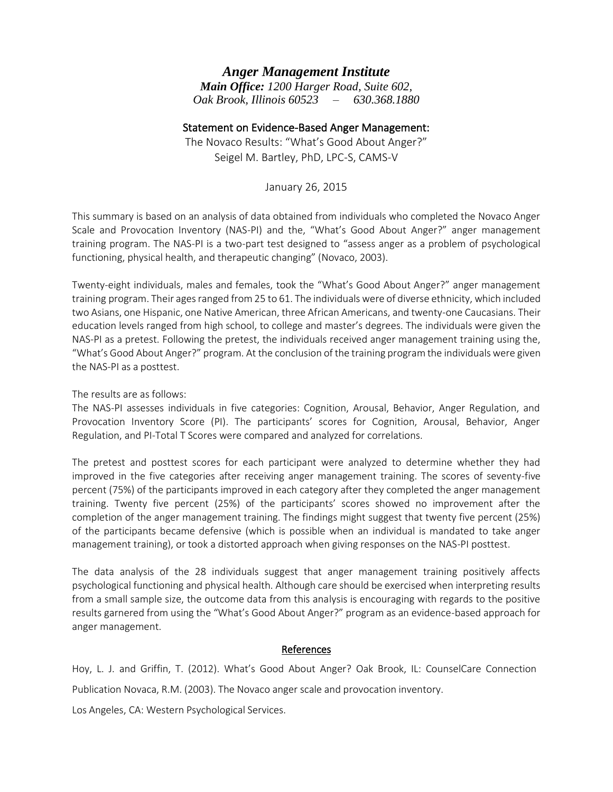# *Anger Management Institute*

*Main Office: 1200 Harger Road, Suite 602, Oak Brook, Illinois 60523 – 630.368.1880*

# Statement on Evidence-Based Anger Management:

The Novaco Results: "What's Good About Anger?" Seigel M. Bartley, PhD, LPC-S, CAMS-V

January 26, 2015

This summary is based on an analysis of data obtained from individuals who completed the Novaco Anger Scale and Provocation Inventory (NAS-PI) and the, "What's Good About Anger?" anger management training program. The NAS-PI is a two-part test designed to "assess anger as a problem of psychological functioning, physical health, and therapeutic changing" (Novaco, 2003).

Twenty-eight individuals, males and females, took the "What's Good About Anger?" anger management training program. Their agesranged from 25 to 61. The individuals were of diverse ethnicity, which included two Asians, one Hispanic, one Native American, three African Americans, and twenty-one Caucasians. Their education levels ranged from high school, to college and master's degrees. The individuals were given the NAS-PI as a pretest. Following the pretest, the individuals received anger management training using the, "What's Good About Anger?" program. At the conclusion of the training program the individuals were given the NAS-PI as a posttest.

The results are as follows:

The NAS-PI assesses individuals in five categories: Cognition, Arousal, Behavior, Anger Regulation, and Provocation Inventory Score (PI). The participants' scores for Cognition, Arousal, Behavior, Anger Regulation, and PI-Total T Scores were compared and analyzed for correlations.

The pretest and posttest scores for each participant were analyzed to determine whether they had improved in the five categories after receiving anger management training. The scores of seventy-five percent (75%) of the participants improved in each category after they completed the anger management training. Twenty five percent (25%) of the participants' scores showed no improvement after the completion of the anger management training. The findings might suggest that twenty five percent (25%) of the participants became defensive (which is possible when an individual is mandated to take anger management training), or took a distorted approach when giving responses on the NAS-PI posttest.

The data analysis of the 28 individuals suggest that anger management training positively affects psychological functioning and physical health. Although care should be exercised when interpreting results from a small sample size, the outcome data from this analysis is encouraging with regards to the positive results garnered from using the "What's Good About Anger?" program as an evidence-based approach for anger management.

#### References

Hoy, L. J. and Griffin, T. (2012). What's Good About Anger? Oak Brook, IL: CounselCare Connection Publication Novaca, R.M. (2003). The Novaco anger scale and provocation inventory. Los Angeles, CA: Western Psychological Services.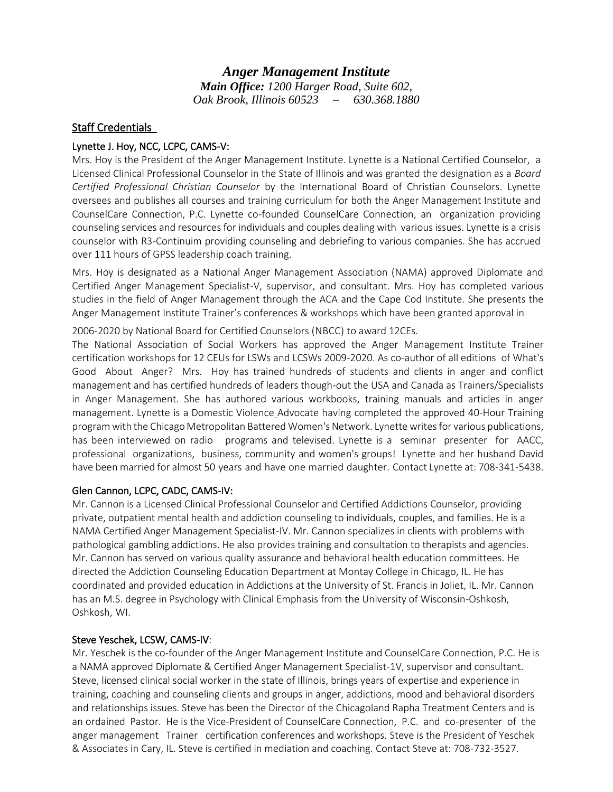*Anger Management Institute Main Office: 1200 Harger Road, Suite 602, Oak Brook, Illinois 60523 – 630.368.1880*

# **Staff Credentials**

## Lynette J. Hoy, NCC, LCPC, CAMS-V:

Mrs. Hoy is the President of the Anger Management Institute. Lynette is a [National Certified Counselor,](http://www.nbcc.org/) a Licensed Clinical Professional Counselor in the State of Illinois and was granted the designation as a *Board Certified Professional Christian Counselor* by the [International Board of Christian Counselors.](http://www.aacc.net/) Lynette oversees and publishes all [courses and training curriculum](http://store.whatsgoodaboutanger.com/merchant2/merchant.mvc?Screen=SFNT&Store_Code=wgaa) for both the Anger Management Institute and CounselCare Connection, P.C. Lynette co-founded [CounselCare Connection,](http://www.counselcareconnection.org/) an organization providing counseling services and resources for individuals and couples dealing with various issues. Lynette is a crisis counselor with R3-Continuim providing counseling and debriefing to various companies. She has accrued over 111 hours of GPSS leadership coach training.

Mrs. Hoy is designated as a National Anger Management Association (NAMA) approved Diplomate and Certified Anger Management Specialist-V, supervisor, and consultant. Mrs. Hoy has completed various studies in the field of Anger Management through the ACA and the Cape Cod Institute. She presents the Anger Management Institute Trainer's conferences & workshops which have been granted approval in

2006-2020 by National Board for Certified Counselors (NBCC) to award 12CEs.

The National Association of Social Workers has approved the Anger Management Institute Trainer certification workshops for 12 CEUs for LSWs and LCSWs 2009-2020. [As co-author](http://store.whatsgoodaboutanger.com/) [of all editions](http://store.whatsgoodaboutanger.com/) of What's Good About Anger? Mrs. Hoy has trained hundreds of students and clients in anger and conflict management and has certified hundreds of leaders though-out the USA and Canada as Trainers/Specialists in Anger Management. She has authored various workbooks, training manuals and articles in anger management. Lynette is a Domestic Violence Advocate having completed the approved 40-Hour Training program with the Chicago Metropolitan Battered Women's Network. Lynette writes for various publications, has been interviewed on radio programs and televised. Lynette is a seminar presenter for [AACC,](http://www.aacc.net/)  professional organizations, business, community and women's groups! Lynette and her husband David have been married for almost 50 years and have one married daughter. Contact Lynette at: 708-341-5438.

#### Glen Cannon, LCPC, CADC, CAMS-IV:

Mr. Cannon is a Licensed Clinical Professional Counselor and Certified Addictions Counselor, providing private, outpatient mental health and addiction counseling to individuals, couples, and families. He is a NAMA Certified Anger Management Specialist-IV. Mr. Cannon specializes in clients with problems with pathological gambling addictions. He also provides training and consultation to therapists and agencies. Mr. Cannon has served on various quality assurance and behavioral health education committees. He directed the Addiction Counseling Education Department at Montay College in Chicago, IL. He has coordinated and provided education in Addictions at the University of St. Francis in Joliet, IL. Mr. Cannon has an M.S. degree in Psychology with Clinical Emphasis from the University of Wisconsin-Oshkosh, Oshkosh, WI.

#### Steve Yeschek, LCSW, CAMS-IV:

Mr. Yeschek is the co-founder of the Anger Management Institute and CounselCare Connection, P.C. He is a NAMA approved Diplomate & Certified Anger Management Specialist-1V, supervisor and consultant. Steve, licensed clinical social worker in the state of Illinois, brings years of expertise and experience in training, coaching and counseling clients and groups in anger, addictions, mood and behavioral disorders and relationships issues. Steve has been the Director of the Chicagoland Rapha [Treatment Centers and is](http://www.counselcareconnection.org/)  [an o](http://www.counselcareconnection.org/)rdained Pastor. He is the Vice-President of CounselCare Connection, P.C. and co-presenter of the anger management Trainer certification conferences and workshops. Steve is the President of Yeschek & Associates in Cary, IL. Steve is certified in mediation and coaching. Contact Steve at: 708-732-3527.